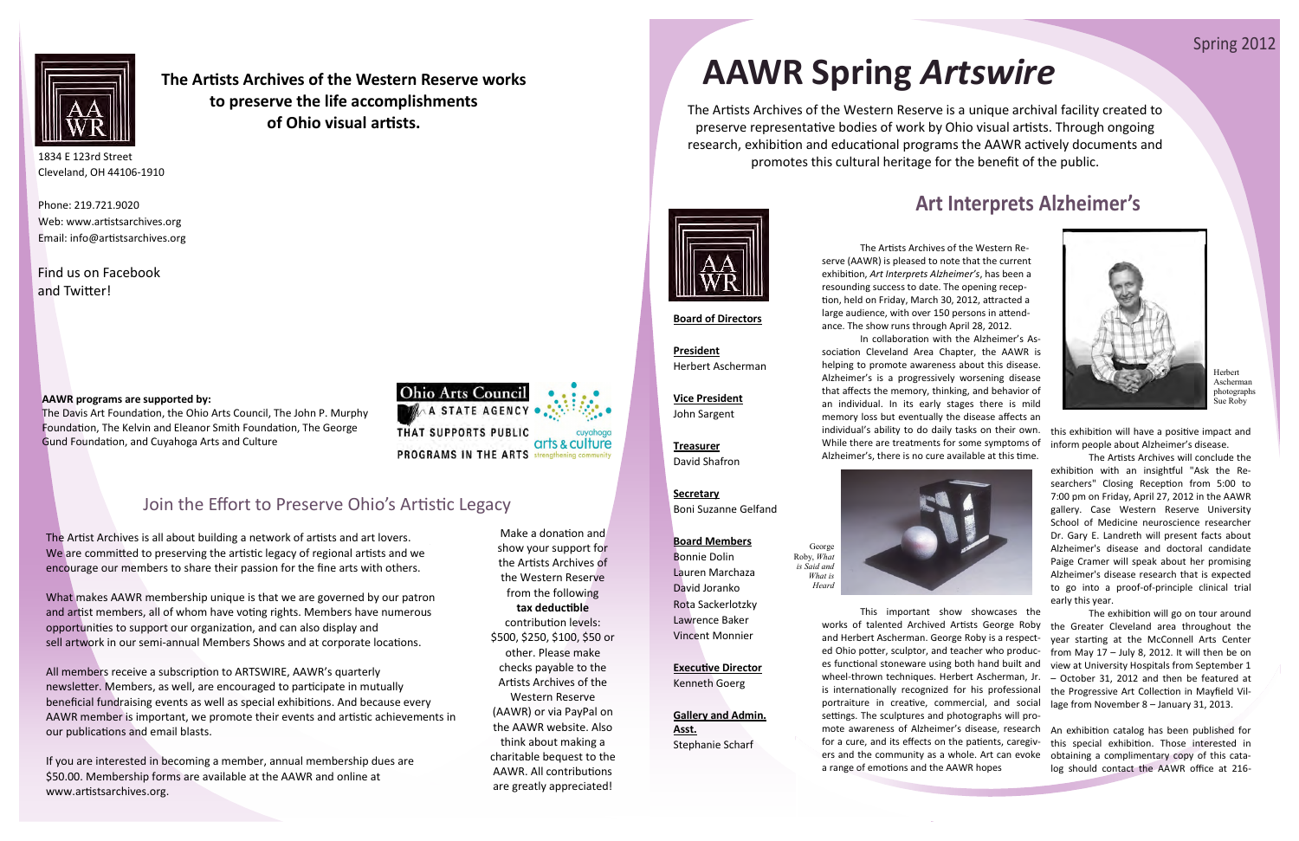#### Join the Effort to Preserve Ohio's Artistic Legacy

Make a donation and show your support for the Artists Archives of the Western Reserve from the following **tax deductible**  contribution levels: \$500, \$250, \$100, \$50 or other. Please make checks payable to the Artists Archives of the Western Reserve (AAWR) or via PayPal on the AAWR website. Also think about making a charitable bequest to the AAWR. All contributions

are greatly appreciated!

The Artist Archives is all about building a network of artists and art lovers. We are committed to preserving the artistic legacy of regional artists and we encourage our members to share their passion for the fine arts with others.

What makes AAWR membership unique is that we are governed by our patron and artist members, all of whom have voting rights. Members have numerous opportunities to support our organization, and can also display and sell artwork in our semi-annual Members Shows and at corporate locations.

All members receive a subscription to ARTSWIRE, AAWR's quarterly newsletter. Members, as well, are encouraged to participate in mutually beneficial fundraising events as well as special exhibitions. And because every AAWR member is important, we promote their events and artistic achievements in our publications and email blasts.

If you are interested in becoming a member, annual membership dues are \$50.00. Membership forms are available at the AAWR and online at www.artistsarchives.org.

1834 E 123rd Street Cleveland, OH 44106-1910

Phone: 219.721.9020 Web: www.artistsarchives.org Email: info@artistsarchives.org

## **AAWR Spring** *Artswire*

The Artists Archives of the Western Reserve is a unique archival facility created to preserve representative bodies of work by Ohio visual artists. Through ongoing research, exhibition and educational programs the AAWR actively documents and promotes this cultural heritage for the benefit of the public.



**Board of Directors**

**President**

Herbert Ascherman

**Vice President** John Sargent

**Treasurer** David Shafron

**Secretary**

Boni Suzanne Gelfand

**Board Members** Bonnie Dolin Lauren Marchaza David Joranko Rota Sackerlotzky Lawrence Baker Vincent Monnier

**Executive Director** Kenneth Goerg

**Gallery and Admin.** 

**Asst.**

Stephanie Scharf

The Artists Archives of the Western Reserve (AAWR) is pleased to note that the current exhibition, *Art Interprets Alzheimer's*, has been a resounding success to date. The opening reception, held on Friday, March 30, 2012, attracted a large audience, with over 150 persons in attendance. The show runs through April 28, 2012.

In collaboration with the Alzheimer's Association Cleveland Area Chapter, the AAWR is helping to promote awareness about this disease. Alzheimer's is a progressively worsening disease that affects the memory, thinking, and behavior of an individual. In its early stages there is mild memory loss but eventually the disease affects an individual's ability to do daily tasks on their own. While there are treatments for some symptoms of Alzheimer's, there is no cure available at this time.

this exhibition will have a positive impact and inform people about Alzheimer's disease.

This important show showcases the works of talented Archived Artists George Roby and Herbert Ascherman. George Roby is a respected Ohio potter, sculptor, and teacher who produces functional stoneware using both hand built and wheel-thrown techniques. Herbert Ascherman, Jr. is internationally recognized for his professional portraiture in creative, commercial, and social settings. The sculptures and photographs will promote awareness of Alzheimer's disease, research for a cure, and its effects on the patients, caregivers and the community as a whole. Art can evoke a range of emotions and the AAWR hopes The exhibition will go on tour around the Greater Cleveland area throughout the year starting at the McConnell Arts Center from May 17 – July 8, 2012. It will then be on view at University Hospitals from September 1 – October 31, 2012 and then be featured at the Progressive Art Collection in Mayfield Village from November 8 – January 31, 2013. An exhibition catalog has been published for this special exhibition. Those interested in obtaining a complimentary copy of this catalog should contact the AAWR office at 216-

The Artists Archives will conclude the exhibition with an insightful "Ask the Researchers" Closing Reception from 5:00 to 7:00 pm on Friday, April 27, 2012 in the AAWR gallery. Case Western Reserve University School of Medicine neuroscience researcher Dr. Gary E. Landreth will present facts about Alzheimer's disease and doctoral candidate Paige Cramer will speak about her promising Alzheimer's disease research that is expected to go into a proof-of-principle clinical trial early this year.

### **Art Interprets Alzheimer's**





#### **The Artists Archives of the Western Reserve works to preserve the life accomplishments of Ohio visual artists.**

Find us on Facebook and Twitter!

#### **AAWR programs are supported by:**

The Davis Art Foundation, the Ohio Arts Council, The John P. Murphy Foundation, The Kelvin and Eleanor Smith Foundation, The George Gund Foundation, and Cuyahoga Arts and Culture





Herbert Ascherman photographs Sue Roby

George Roby, *What is Said and What is Heard*